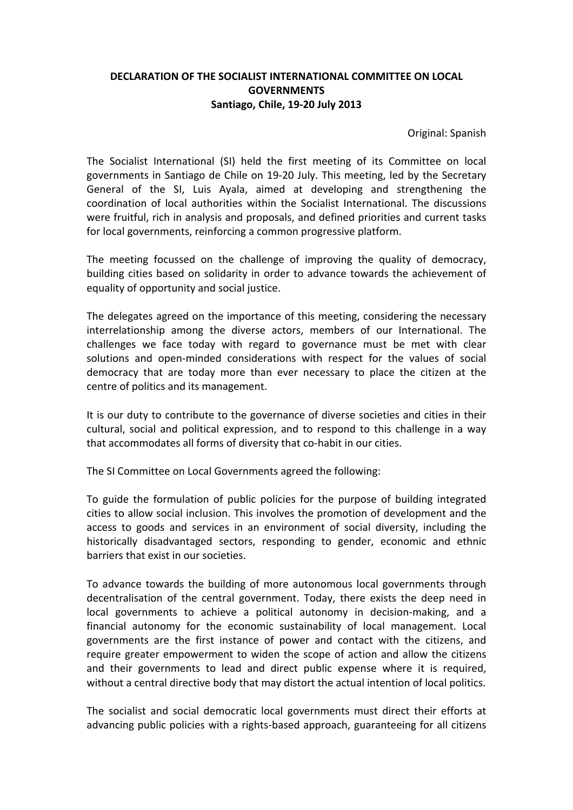## **DECLARATION OF THE SOCIALIST INTERNATIONAL COMMITTEE ON LOCAL GOVERNMENTS Santiago, Chile, 19-20 July 2013**

Original: Spanish

The Socialist International (SI) held the first meeting of its Committee on local governments in Santiago de Chile on 19-20 July. This meeting, led by the Secretary General of the SI, Luis Ayala, aimed at developing and strengthening the coordination of local authorities within the Socialist International. The discussions were fruitful, rich in analysis and proposals, and defined priorities and current tasks for local governments, reinforcing a common progressive platform.

The meeting focussed on the challenge of improving the quality of democracy, building cities based on solidarity in order to advance towards the achievement of equality of opportunity and social justice.

The delegates agreed on the importance of this meeting, considering the necessary interrelationship among the diverse actors, members of our International. The challenges we face today with regard to governance must be met with clear solutions and open-minded considerations with respect for the values of social democracy that are today more than ever necessary to place the citizen at the centre of politics and its management.

It is our duty to contribute to the governance of diverse societies and cities in their cultural, social and political expression, and to respond to this challenge in a way that accommodates all forms of diversity that co-habit in our cities.

The SI Committee on Local Governments agreed the following:

To guide the formulation of public policies for the purpose of building integrated cities to allow social inclusion. This involves the promotion of development and the access to goods and services in an environment of social diversity, including the historically disadvantaged sectors, responding to gender, economic and ethnic barriers that exist in our societies.

To advance towards the building of more autonomous local governments through decentralisation of the central government. Today, there exists the deep need in local governments to achieve a political autonomy in decision-making, and a financial autonomy for the economic sustainability of local management. Local governments are the first instance of power and contact with the citizens, and require greater empowerment to widen the scope of action and allow the citizens and their governments to lead and direct public expense where it is required, without a central directive body that may distort the actual intention of local politics.

The socialist and social democratic local governments must direct their efforts at advancing public policies with a rights-based approach, guaranteeing for all citizens